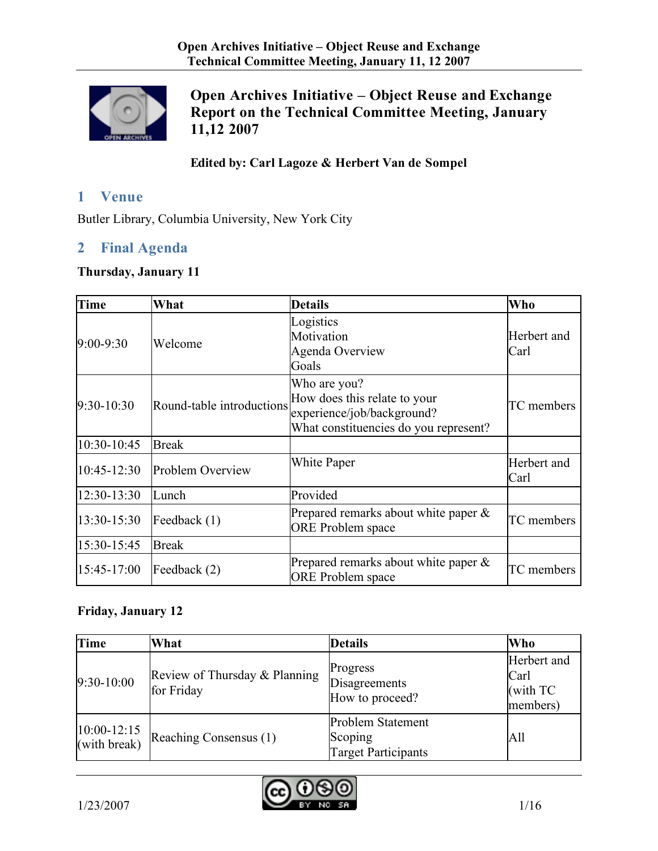

# **Open Archives Initiative – Object Reuse and Exchange Report on the Technical Committee Meeting, January 11,12 2007**

## **Edited by: Carl Lagoze & Herbert Van de Sompel**

# **1 Venue**

Butler Library, Columbia University, New York City

## **2 Final Agenda**

#### **Thursday, January 11**

| <b>Time</b>     | What                      | <b>Details</b>                                                                                                      | Who                 |
|-----------------|---------------------------|---------------------------------------------------------------------------------------------------------------------|---------------------|
| $9:00 - 9:30$   | Welcome                   | Logistics<br>Motivation<br>Agenda Overview<br>Goals                                                                 | Herbert and<br>Carl |
| $9:30-10:30$    | Round-table introductions | Who are you?<br>How does this relate to your<br>experience/job/background?<br>What constituencies do you represent? | TC members          |
| 10:30-10:45     | <b>Break</b>              |                                                                                                                     |                     |
| $10:45 - 12:30$ | Problem Overview          | <b>White Paper</b>                                                                                                  | Herbert and<br>Carl |
| 12:30-13:30     | Lunch                     | Provided                                                                                                            |                     |
| 13:30-15:30     | Feedback $(1)$            | Prepared remarks about white paper $\&$<br><b>ORE</b> Problem space                                                 | TC members          |
| 15:30-15:45     | <b>Break</b>              |                                                                                                                     |                     |
| $15:45-17:00$   | Feedback $(2)$            | Prepared remarks about white paper $\&$<br><b>ORE</b> Problem space                                                 | TC members          |

# **Friday, January 12**

| <b>Time</b>                     | What                                        | <b>Details</b>                                                    | Who                                           |
|---------------------------------|---------------------------------------------|-------------------------------------------------------------------|-----------------------------------------------|
| $9:30-10:00$                    | Review of Thursday & Planning<br>for Friday | Progress<br>Disagreements<br>How to proceed?                      | Herbert and<br>Carl<br>(with $TC$<br>members) |
| $10:00 - 12:15$<br>(with break) | Reaching Consensus (1)                      | <b>Problem Statement</b><br>Scoping<br><b>Target Participants</b> | All                                           |

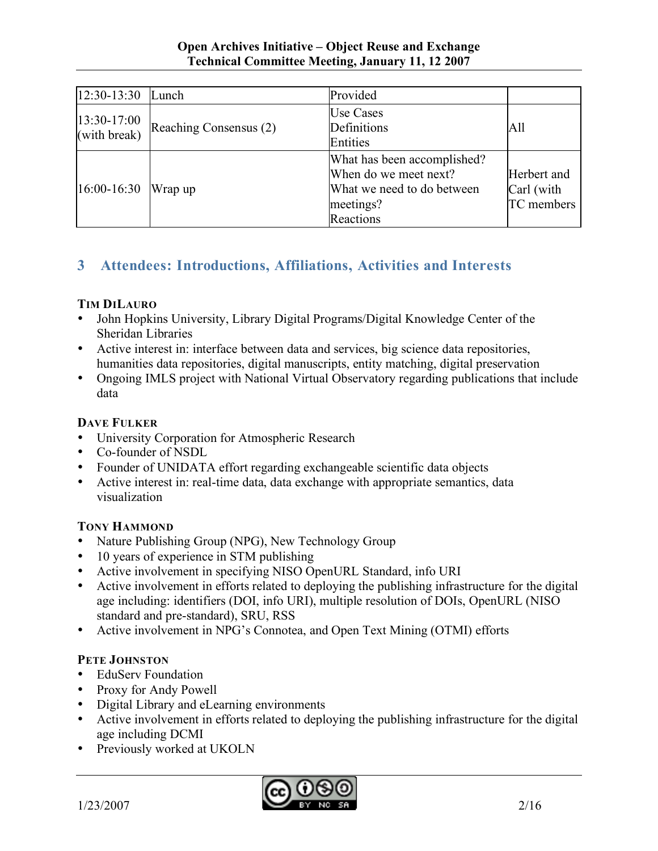| 12:30-13:30                 | Lunch                  | Provided                                                                                                     |                                         |
|-----------------------------|------------------------|--------------------------------------------------------------------------------------------------------------|-----------------------------------------|
| 13:30-17:00<br>(with break) | Reaching Consensus (2) | <b>Use Cases</b><br>Definitions<br>Entities                                                                  | All                                     |
| $16:00 - 16:30$             | Wrap up                | What has been accomplished?<br>When do we meet next?<br>What we need to do between<br>meetings?<br>Reactions | Herbert and<br>Carl (with<br>TC members |

# **3 Attendees: Introductions, Affiliations, Activities and Interests**

## **TIM DILAURO**

- John Hopkins University, Library Digital Programs/Digital Knowledge Center of the Sheridan Libraries
- Active interest in: interface between data and services, big science data repositories, humanities data repositories, digital manuscripts, entity matching, digital preservation
- Ongoing IMLS project with National Virtual Observatory regarding publications that include data

# **DAVE FULKER**

- University Corporation for Atmospheric Research
- Co-founder of NSDL
- Founder of UNIDATA effort regarding exchangeable scientific data objects
- Active interest in: real-time data, data exchange with appropriate semantics, data visualization

# **TONY HAMMOND**

- Nature Publishing Group (NPG), New Technology Group
- 10 years of experience in STM publishing
- Active involvement in specifying NISO OpenURL Standard, info URI
- Active involvement in efforts related to deploying the publishing infrastructure for the digital age including: identifiers (DOI, info URI), multiple resolution of DOIs, OpenURL (NISO standard and pre-standard), SRU, RSS
- Active involvement in NPG's Connotea, and Open Text Mining (OTMI) efforts

#### **PETE JOHNSTON**

- EduServ Foundation
- Proxy for Andy Powell
- Digital Library and eLearning environments
- Active involvement in efforts related to deploying the publishing infrastructure for the digital age including DCMI
- Previously worked at UKOLN

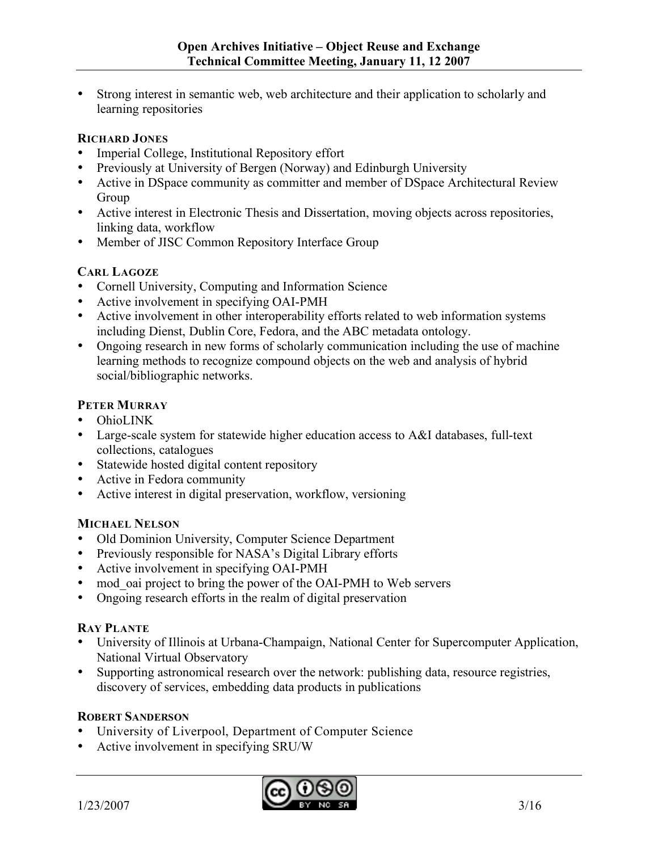• Strong interest in semantic web, web architecture and their application to scholarly and learning repositories

#### **RICHARD JONES**

- Imperial College, Institutional Repository effort
- Previously at University of Bergen (Norway) and Edinburgh University
- Active in DSpace community as committer and member of DSpace Architectural Review Group
- Active interest in Electronic Thesis and Dissertation, moving objects across repositories, linking data, workflow
- Member of JISC Common Repository Interface Group

#### **CARL LAGOZE**

- Cornell University, Computing and Information Science
- Active involvement in specifying OAI-PMH
- Active involvement in other interoperability efforts related to web information systems including Dienst, Dublin Core, Fedora, and the ABC metadata ontology.
- Ongoing research in new forms of scholarly communication including the use of machine learning methods to recognize compound objects on the web and analysis of hybrid social/bibliographic networks.

#### **PETER MURRAY**

- OhioLINK
- Large-scale system for statewide higher education access to A&I databases, full-text collections, catalogues
- Statewide hosted digital content repository
- Active in Fedora community
- Active interest in digital preservation, workflow, versioning

#### **MICHAEL NELSON**

- Old Dominion University, Computer Science Department
- Previously responsible for NASA's Digital Library efforts
- Active involvement in specifying OAI-PMH
- mod oai project to bring the power of the OAI-PMH to Web servers
- Ongoing research efforts in the realm of digital preservation

#### **RAY PLANTE**

- University of Illinois at Urbana-Champaign, National Center for Supercomputer Application, National Virtual Observatory
- Supporting astronomical research over the network: publishing data, resource registries, discovery of services, embedding data products in publications

#### **ROBERT SANDERSON**

- University of Liverpool, Department of Computer Science
- Active involvement in specifying SRU/W

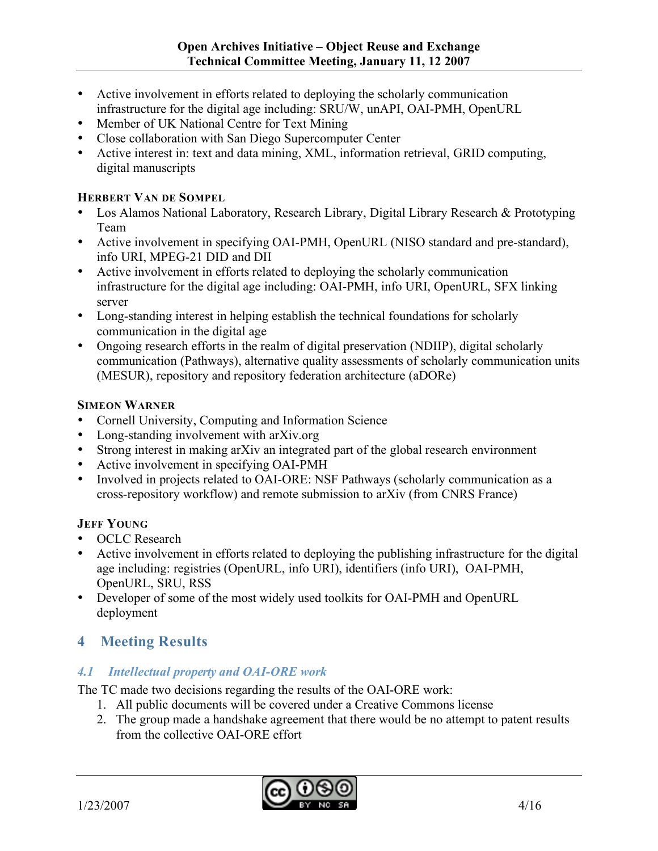- Active involvement in efforts related to deploying the scholarly communication infrastructure for the digital age including: SRU/W, unAPI, OAI-PMH, OpenURL
- Member of UK National Centre for Text Mining
- Close collaboration with San Diego Supercomputer Center
- Active interest in: text and data mining, XML, information retrieval, GRID computing, digital manuscripts

### **HERBERT VAN DE SOMPEL**

- Los Alamos National Laboratory, Research Library, Digital Library Research & Prototyping Team
- Active involvement in specifying OAI-PMH, OpenURL (NISO standard and pre-standard), info URI, MPEG-21 DID and DII
- Active involvement in efforts related to deploying the scholarly communication infrastructure for the digital age including: OAI-PMH, info URI, OpenURL, SFX linking server
- Long-standing interest in helping establish the technical foundations for scholarly communication in the digital age
- Ongoing research efforts in the realm of digital preservation (NDIIP), digital scholarly communication (Pathways), alternative quality assessments of scholarly communication units (MESUR), repository and repository federation architecture (aDORe)

#### **SIMEON WARNER**

- Cornell University, Computing and Information Science
- Long-standing involvement with arXiv.org
- Strong interest in making arXiv an integrated part of the global research environment
- Active involvement in specifying OAI-PMH
- Involved in projects related to OAI-ORE: NSF Pathways (scholarly communication as a cross-repository workflow) and remote submission to arXiv (from CNRS France)

# **JEFF YOUNG**

- OCLC Research
- Active involvement in efforts related to deploying the publishing infrastructure for the digital age including: registries (OpenURL, info URI), identifiers (info URI), OAI-PMH, OpenURL, SRU, RSS
- Developer of some of the most widely used toolkits for OAI-PMH and OpenURL deployment

# **4 Meeting Results**

# *4.1 Intellectual property and OAI-ORE work*

The TC made two decisions regarding the results of the OAI-ORE work:

- 1. All public documents will be covered under a Creative Commons license
- 2. The group made a handshake agreement that there would be no attempt to patent results from the collective OAI-ORE effort

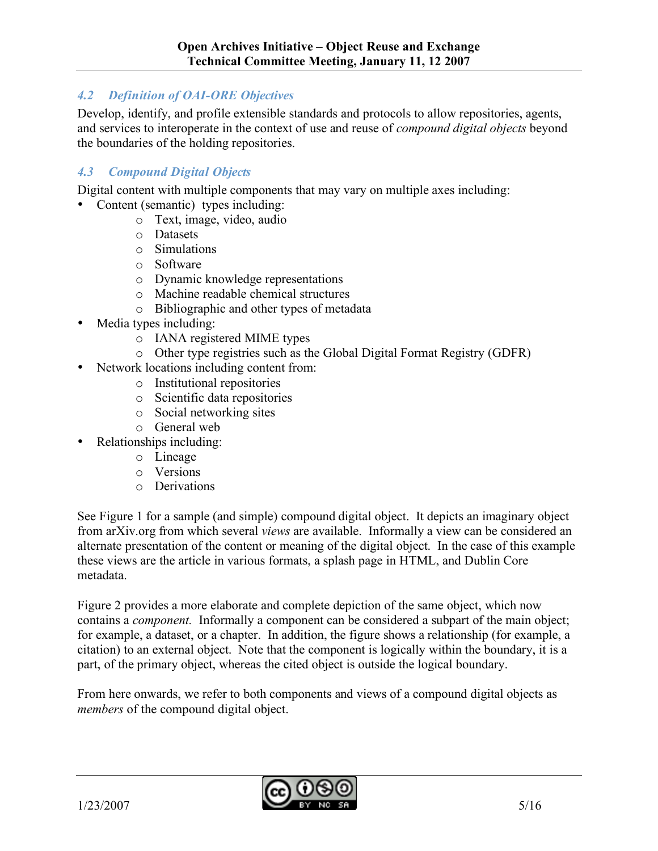# *4.2 Definition of OAI-ORE Objectives*

Develop, identify, and profile extensible standards and protocols to allow repositories, agents, and services to interoperate in the context of use and reuse of *compound digital objects* beyond the boundaries of the holding repositories.

### *4.3 Compound Digital Objects*

Digital content with multiple components that may vary on multiple axes including:

- Content (semantic) types including:
	- o Text, image, video, audio
	- o Datasets
	- o Simulations
	- o Software
	- o Dynamic knowledge representations
	- o Machine readable chemical structures
	- o Bibliographic and other types of metadata
- Media types including:
	- o IANA registered MIME types
	- o Other type registries such as the Global Digital Format Registry (GDFR)
	- Network locations including content from:
		- o Institutional repositories
		- o Scientific data repositories
		- o Social networking sites
		- o General web
- Relationships including:
	- o Lineage
	- o Versions
	- o Derivations

See Figure 1 for a sample (and simple) compound digital object. It depicts an imaginary object from arXiv.org from which several *views* are available. Informally a view can be considered an alternate presentation of the content or meaning of the digital object. In the case of this example these views are the article in various formats, a splash page in HTML, and Dublin Core metadata.

Figure 2 provides a more elaborate and complete depiction of the same object, which now contains a *component.* Informally a component can be considered a subpart of the main object; for example, a dataset, or a chapter. In addition, the figure shows a relationship (for example, a citation) to an external object. Note that the component is logically within the boundary, it is a part, of the primary object, whereas the cited object is outside the logical boundary.

From here onwards, we refer to both components and views of a compound digital objects as *members* of the compound digital object.

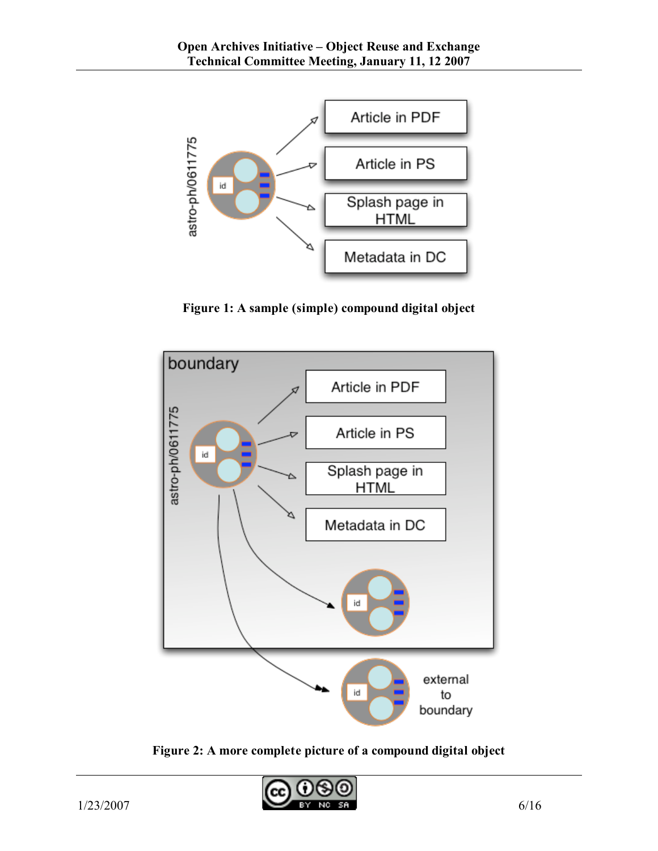

**Figure 1: A sample (simple) compound digital object**



**Figure 2: A more complete picture of a compound digital object**

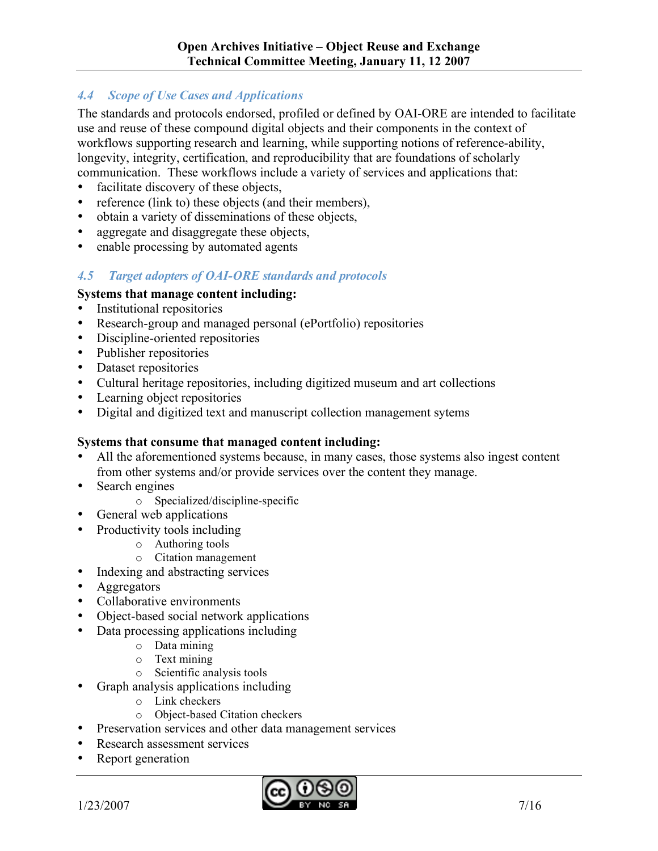### *4.4 Scope of Use Cases and Applications*

The standards and protocols endorsed, profiled or defined by OAI-ORE are intended to facilitate use and reuse of these compound digital objects and their components in the context of workflows supporting research and learning, while supporting notions of reference-ability, longevity, integrity, certification, and reproducibility that are foundations of scholarly communication. These workflows include a variety of services and applications that:

- facilitate discovery of these objects,
- reference (link to) these objects (and their members),
- obtain a variety of disseminations of these objects,
- aggregate and disaggregate these objects.
- enable processing by automated agents

#### *4.5 Target adopters of OAI-ORE standards and protocols*

#### **Systems that manage content including:**

- Institutional repositories
- Research-group and managed personal (ePortfolio) repositories
- Discipline-oriented repositories
- Publisher repositories
- Dataset repositories
- Cultural heritage repositories, including digitized museum and art collections
- Learning object repositories
- Digital and digitized text and manuscript collection management sytems

#### **Systems that consume that managed content including:**

- All the aforementioned systems because, in many cases, those systems also ingest content from other systems and/or provide services over the content they manage.
- Search engines
	- o Specialized/discipline-specific
- General web applications
- Productivity tools including
	- o Authoring tools
	- o Citation management
- Indexing and abstracting services
- Aggregators
- Collaborative environments
- Object-based social network applications
- Data processing applications including
	- o Data mining
	- $\circ$  Text mining
	- o Scientific analysis tools
- Graph analysis applications including
	- o Link checkers
	- o Object-based Citation checkers
- Preservation services and other data management services
- Research assessment services
- Report generation

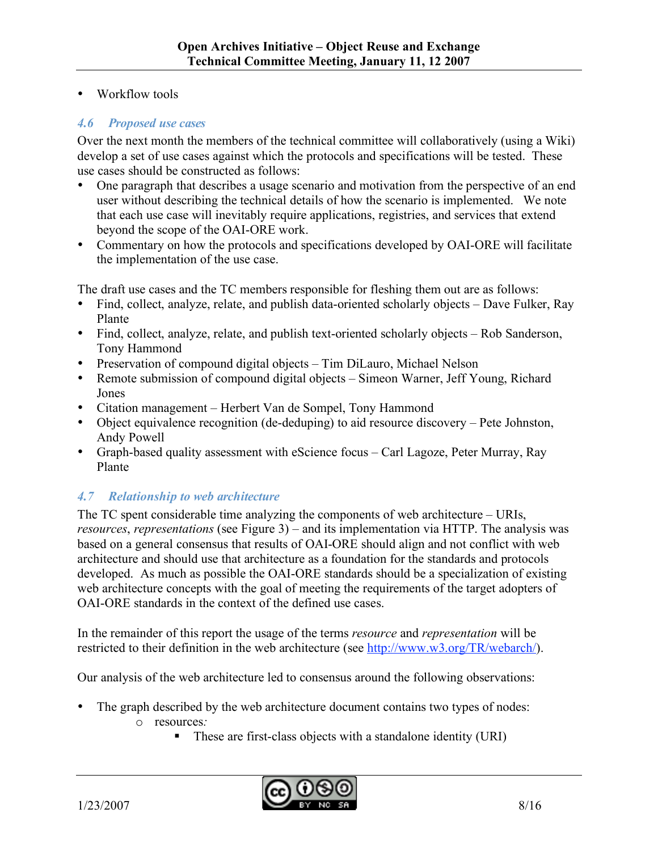• Workflow tools

#### *4.6 Proposed use cases*

Over the next month the members of the technical committee will collaboratively (using a Wiki) develop a set of use cases against which the protocols and specifications will be tested. These use cases should be constructed as follows:

- One paragraph that describes a usage scenario and motivation from the perspective of an end user without describing the technical details of how the scenario is implemented. We note that each use case will inevitably require applications, registries, and services that extend beyond the scope of the OAI-ORE work.
- Commentary on how the protocols and specifications developed by OAI-ORE will facilitate the implementation of the use case.

The draft use cases and the TC members responsible for fleshing them out are as follows:

- Find, collect, analyze, relate, and publish data-oriented scholarly objects Dave Fulker, Ray Plante
- Find, collect, analyze, relate, and publish text-oriented scholarly objects Rob Sanderson, Tony Hammond
- Preservation of compound digital objects Tim DiLauro, Michael Nelson
- Remote submission of compound digital objects Simeon Warner, Jeff Young, Richard Jones
- Citation management Herbert Van de Sompel, Tony Hammond
- Object equivalence recognition (de-deduping) to aid resource discovery Pete Johnston, Andy Powell
- Graph-based quality assessment with eScience focus Carl Lagoze, Peter Murray, Ray Plante

# *4.7 Relationship to web architecture*

The TC spent considerable time analyzing the components of web architecture – URIs, *resources*, *representations* (see Figure 3) – and its implementation via HTTP. The analysis was based on a general consensus that results of OAI-ORE should align and not conflict with web architecture and should use that architecture as a foundation for the standards and protocols developed. As much as possible the OAI-ORE standards should be a specialization of existing web architecture concepts with the goal of meeting the requirements of the target adopters of OAI-ORE standards in the context of the defined use cases.

In the remainder of this report the usage of the terms *resource* and *representation* will be restricted to their definition in the web architecture (see http://www.w3.org/TR/webarch/).

Our analysis of the web architecture led to consensus around the following observations:

- The graph described by the web architecture document contains two types of nodes: o resources*:*
	- These are first-class objects with a standalone identity (URI)

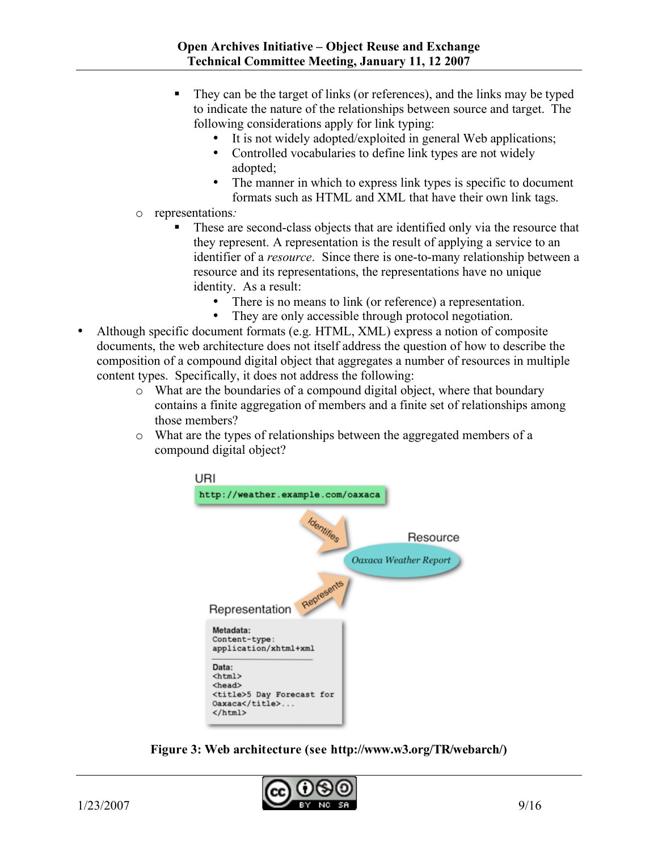- They can be the target of links (or references), and the links may be typed to indicate the nature of the relationships between source and target. The following considerations apply for link typing:
	- It is not widely adopted/exploited in general Web applications;
	- Controlled vocabularies to define link types are not widely adopted;
	- The manner in which to express link types is specific to document formats such as HTML and XML that have their own link tags.
- o representations*:*
	- These are second-class objects that are identified only via the resource that they represent. A representation is the result of applying a service to an identifier of a *resource*. Since there is one-to-many relationship between a resource and its representations, the representations have no unique identity. As a result:
		- There is no means to link (or reference) a representation.
		- They are only accessible through protocol negotiation.
- Although specific document formats (e.g. HTML, XML) express a notion of composite documents, the web architecture does not itself address the question of how to describe the composition of a compound digital object that aggregates a number of resources in multiple content types. Specifically, it does not address the following:
	- o What are the boundaries of a compound digital object, where that boundary contains a finite aggregation of members and a finite set of relationships among those members?
	- o What are the types of relationships between the aggregated members of a compound digital object?



**Figure 3: Web architecture (see http://www.w3.org/TR/webarch/)**

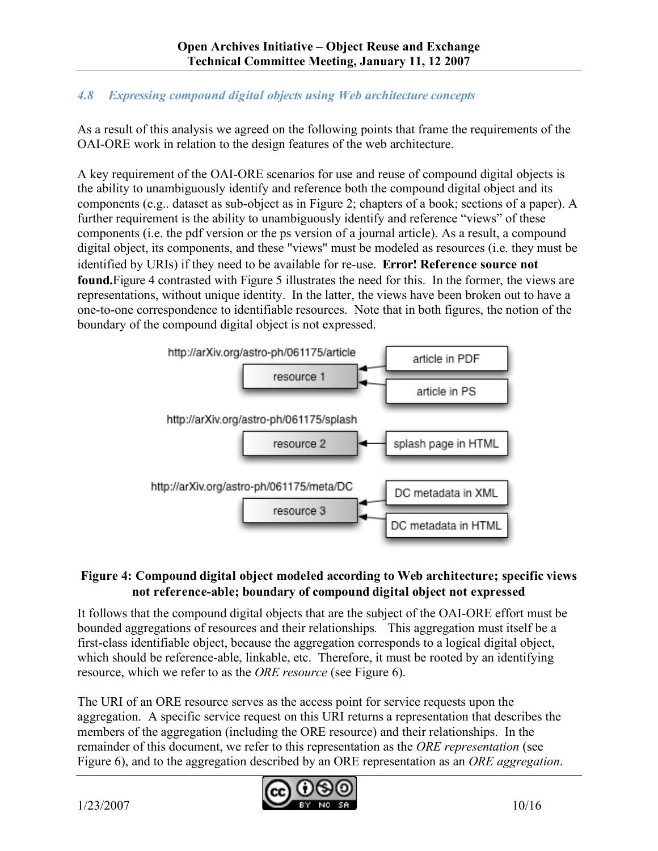# *4.8 Expressing compound digital objects using Web architecture concepts*

As a result of this analysis we agreed on the following points that frame the requirements of the OAI-ORE work in relation to the design features of the web architecture.

A key requirement of the OAI-ORE scenarios for use and reuse of compound digital objects is the ability to unambiguously identify and reference both the compound digital object and its components (e.g.. dataset as sub-object as in Figure 2; chapters of a book; sections of a paper). A further requirement is the ability to unambiguously identify and reference "views" of these components (i.e. the pdf version or the ps version of a journal article). As a result, a compound digital object, its components, and these "views" must be modeled as resources (i.e. they must be identified by URIs) if they need to be available for re-use. **Error! Reference source not found.**Figure 4 contrasted with Figure 5 illustrates the need for this. In the former, the views are representations, without unique identity. In the latter, the views have been broken out to have a one-to-one correspondence to identifiable resources. Note that in both figures, the notion of the boundary of the compound digital object is not expressed.



## **Figure 4: Compound digital object modeled according to Web architecture; specific views not reference-able; boundary of compound digital object not expressed**

It follows that the compound digital objects that are the subject of the OAI-ORE effort must be bounded aggregations of resources and their relationships*.* This aggregation must itself be a first-class identifiable object, because the aggregation corresponds to a logical digital object, which should be reference-able, linkable, etc. Therefore, it must be rooted by an identifying resource, which we refer to as the *ORE resource* (see Figure 6).

The URI of an ORE resource serves as the access point for service requests upon the aggregation. A specific service request on this URI returns a representation that describes the members of the aggregation (including the ORE resource) and their relationships. In the remainder of this document, we refer to this representation as the *ORE representation* (see Figure 6), and to the aggregation described by an ORE representation as an *ORE aggregation*.

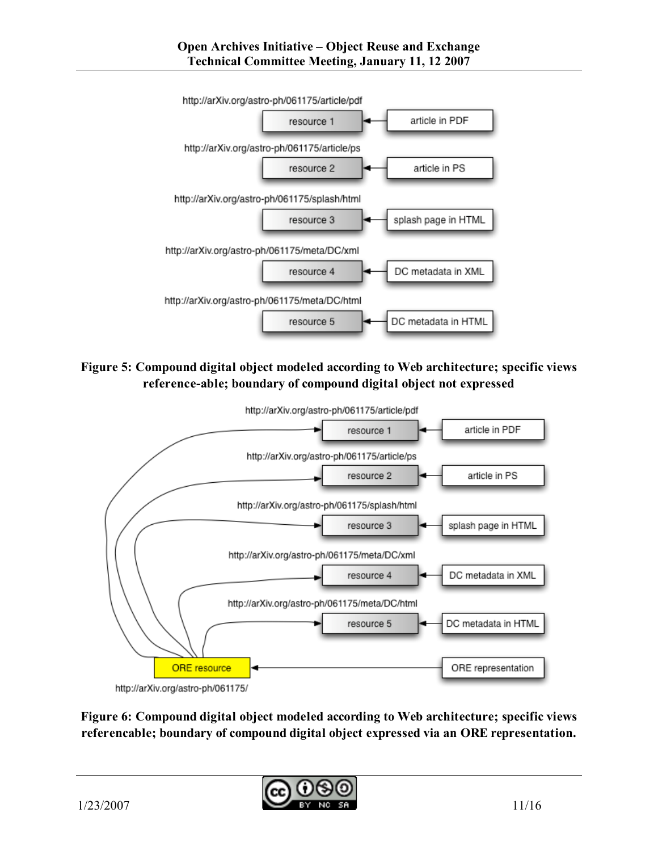

**Figure 5: Compound digital object modeled according to Web architecture; specific views reference-able; boundary of compound digital object not expressed**



**Figure 6: Compound digital object modeled according to Web architecture; specific views referencable; boundary of compound digital object expressed via an ORE representation.**

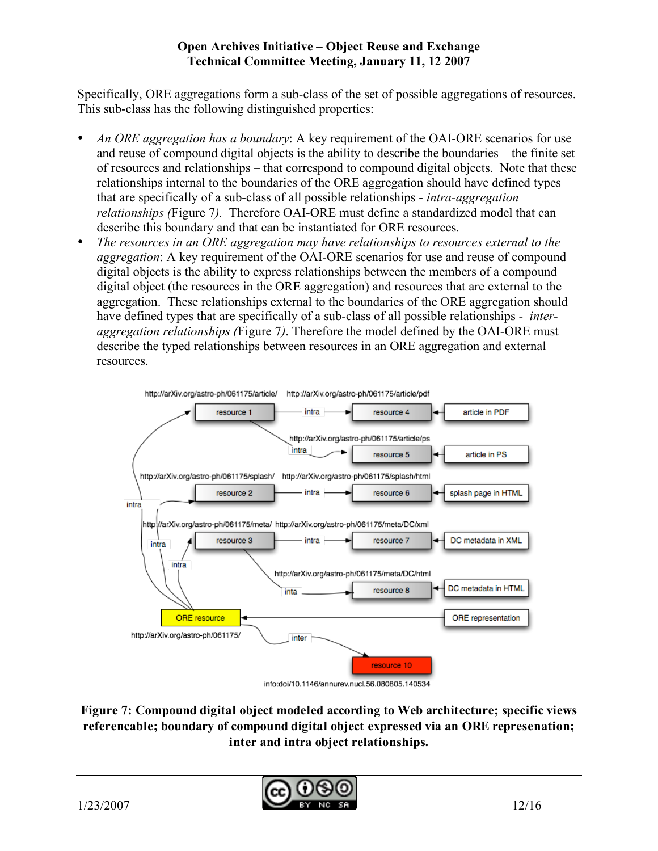Specifically, ORE aggregations form a sub-class of the set of possible aggregations of resources. This sub-class has the following distinguished properties:

- *An ORE aggregation has a boundary*: A key requirement of the OAI-ORE scenarios for use and reuse of compound digital objects is the ability to describe the boundaries – the finite set of resources and relationships – that correspond to compound digital objects. Note that these relationships internal to the boundaries of the ORE aggregation should have defined types that are specifically of a sub-class of all possible relationships - *intra-aggregation relationships (*Figure 7*).* Therefore OAI-ORE must define a standardized model that can describe this boundary and that can be instantiated for ORE resources.
- *The resources in an ORE aggregation may have relationships to resources external to the aggregation*: A key requirement of the OAI-ORE scenarios for use and reuse of compound digital objects is the ability to express relationships between the members of a compound digital object (the resources in the ORE aggregation) and resources that are external to the aggregation. These relationships external to the boundaries of the ORE aggregation should have defined types that are specifically of a sub-class of all possible relationships - *interaggregation relationships (*Figure 7*)*. Therefore the model defined by the OAI-ORE must describe the typed relationships between resources in an ORE aggregation and external resources.



**Figure 7: Compound digital object modeled according to Web architecture; specific views referencable; boundary of compound digital object expressed via an ORE represenation; inter and intra object relationships.**

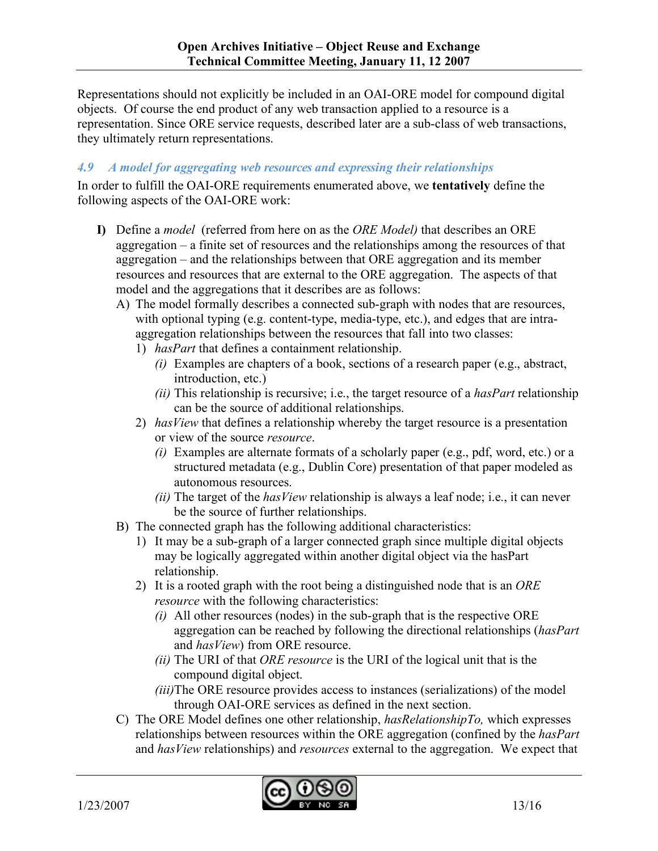Representations should not explicitly be included in an OAI-ORE model for compound digital objects. Of course the end product of any web transaction applied to a resource is a representation. Since ORE service requests, described later are a sub-class of web transactions, they ultimately return representations.

## *4.9 A model for aggregating web resources and expressing their relationships*

In order to fulfill the OAI-ORE requirements enumerated above, we **tentatively** define the following aspects of the OAI-ORE work:

- **I)** Define a *model* (referred from here on as the *ORE Model)* that describes an ORE aggregation – a finite set of resources and the relationships among the resources of that aggregation – and the relationships between that ORE aggregation and its member resources and resources that are external to the ORE aggregation. The aspects of that model and the aggregations that it describes are as follows:
	- A) The model formally describes a connected sub-graph with nodes that are resources, with optional typing (e.g. content-type, media-type, etc.), and edges that are intraaggregation relationships between the resources that fall into two classes:
		- 1) *hasPart* that defines a containment relationship.
			- *(i)* Examples are chapters of a book, sections of a research paper (e.g., abstract, introduction, etc.)
			- *(ii)* This relationship is recursive; i.e., the target resource of a *hasPart* relationship can be the source of additional relationships.
		- 2) *hasView* that defines a relationship whereby the target resource is a presentation or view of the source *resource*.
			- *(i)* Examples are alternate formats of a scholarly paper (e.g., pdf, word, etc.) or a structured metadata (e.g., Dublin Core) presentation of that paper modeled as autonomous resources.
			- *(ii)* The target of the *hasView* relationship is always a leaf node; i.e., it can never be the source of further relationships.
	- B) The connected graph has the following additional characteristics:
		- 1) It may be a sub-graph of a larger connected graph since multiple digital objects may be logically aggregated within another digital object via the hasPart relationship.
		- 2) It is a rooted graph with the root being a distinguished node that is an *ORE resource* with the following characteristics:
			- *(i)* All other resources (nodes) in the sub-graph that is the respective ORE aggregation can be reached by following the directional relationships (*hasPart* and *hasView*) from ORE resource.
			- *(ii)* The URI of that *ORE resource* is the URI of the logical unit that is the compound digital object.
			- *(iii)*The ORE resource provides access to instances (serializations) of the model through OAI-ORE services as defined in the next section.
	- C) The ORE Model defines one other relationship, *hasRelationshipTo,* which expresses relationships between resources within the ORE aggregation (confined by the *hasPart* and *hasView* relationships) and *resources* external to the aggregation. We expect that

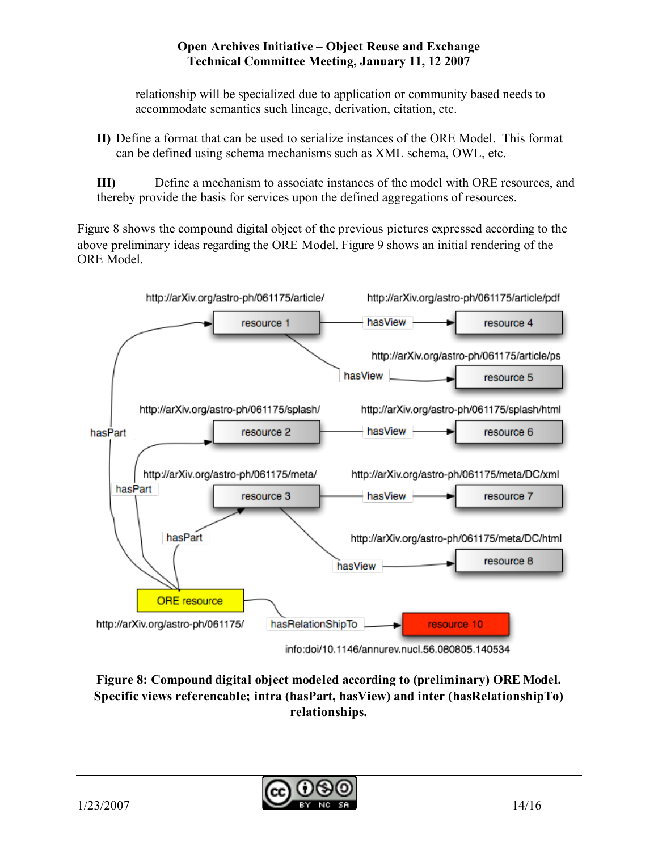relationship will be specialized due to application or community based needs to accommodate semantics such lineage, derivation, citation, etc.

**II)** Define a format that can be used to serialize instances of the ORE Model. This format can be defined using schema mechanisms such as XML schema, OWL, etc.

**III)** Define a mechanism to associate instances of the model with ORE resources, and thereby provide the basis for services upon the defined aggregations of resources.

Figure 8 shows the compound digital object of the previous pictures expressed according to the above preliminary ideas regarding the ORE Model. Figure 9 shows an initial rendering of the ORE Model.



**Figure 8: Compound digital object modeled according to (preliminary) ORE Model. Specific views referencable; intra (hasPart, hasView) and inter (hasRelationshipTo) relationships.**

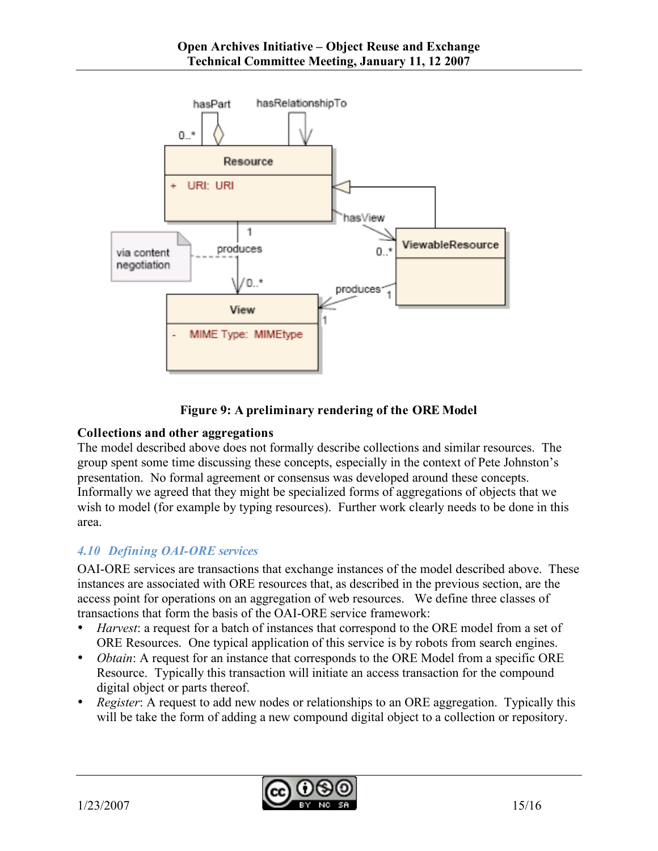



#### **Collections and other aggregations**

The model described above does not formally describe collections and similar resources. The group spent some time discussing these concepts, especially in the context of Pete Johnston's presentation. No formal agreement or consensus was developed around these concepts. Informally we agreed that they might be specialized forms of aggregations of objects that we wish to model (for example by typing resources). Further work clearly needs to be done in this area.

#### *4.10 Defining OAI-ORE services*

OAI-ORE services are transactions that exchange instances of the model described above. These instances are associated with ORE resources that, as described in the previous section, are the access point for operations on an aggregation of web resources. We define three classes of transactions that form the basis of the OAI-ORE service framework:

- *Harvest*: a request for a batch of instances that correspond to the ORE model from a set of ORE Resources. One typical application of this service is by robots from search engines.
- *Obtain*: A request for an instance that corresponds to the ORE Model from a specific ORE Resource. Typically this transaction will initiate an access transaction for the compound digital object or parts thereof.
- *Register*: A request to add new nodes or relationships to an ORE aggregation. Typically this will be take the form of adding a new compound digital object to a collection or repository.